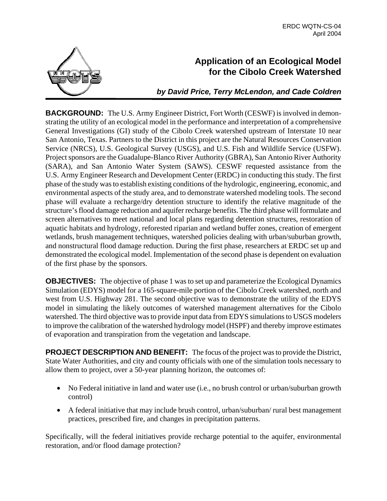

# **Application of an Ecological Model for the Cibolo Creek Watershed**

*by David Price, Terry McLendon, and Cade Coldren*

**BACKGROUND:** The U.S. Army Engineer District, Fort Worth (CESWF) is involved in demonstrating the utility of an ecological model in the performance and interpretation of a comprehensive General Investigations (GI) study of the Cibolo Creek watershed upstream of Interstate 10 near San Antonio, Texas. Partners to the District in this project are the Natural Resources Conservation Service (NRCS), U.S. Geological Survey (USGS), and U.S. Fish and Wildlife Service (USFW). Project sponsors are the Guadalupe-Blanco River Authority (GBRA), San Antonio River Authority (SARA), and San Antonio Water System (SAWS). CESWF requested assistance from the U.S. Army Engineer Research and Development Center (ERDC) in conducting this study. The first phase of the study was to establish existing conditions of the hydrologic, engineering, economic, and environmental aspects of the study area, and to demonstrate watershed modeling tools. The second phase will evaluate a recharge/dry detention structure to identify the relative magnitude of the structure's flood damage reduction and aquifer recharge benefits. The third phase will formulate and screen alternatives to meet national and local plans regarding detention structures, restoration of aquatic habitats and hydrology, reforested riparian and wetland buffer zones, creation of emergent wetlands, brush management techniques, watershed policies dealing with urban/suburban growth, and nonstructural flood damage reduction. During the first phase, researchers at ERDC set up and demonstrated the ecological model. Implementation of the second phase is dependent on evaluation of the first phase by the sponsors.

**OBJECTIVES:** The objective of phase 1 was to set up and parameterize the Ecological Dynamics Simulation (EDYS) model for a 165-square-mile portion of the Cibolo Creek watershed, north and west from U.S. Highway 281. The second objective was to demonstrate the utility of the EDYS model in simulating the likely outcomes of watershed management alternatives for the Cibolo watershed. The third objective was to provide input data from EDYS simulations to USGS modelers to improve the calibration of the watershed hydrology model (HSPF) and thereby improve estimates of evaporation and transpiration from the vegetation and landscape.

**PROJECT DESCRIPTION AND BENEFIT:** The focus of the project was to provide the District, State Water Authorities, and city and county officials with one of the simulation tools necessary to allow them to project, over a 50-year planning horizon, the outcomes of:

- No Federal initiative in land and water use (i.e., no brush control or urban/suburban growth control)
- A federal initiative that may include brush control, urban/suburban/ rural best management practices, prescribed fire, and changes in precipitation patterns.

Specifically, will the federal initiatives provide recharge potential to the aquifer, environmental restoration, and/or flood damage protection?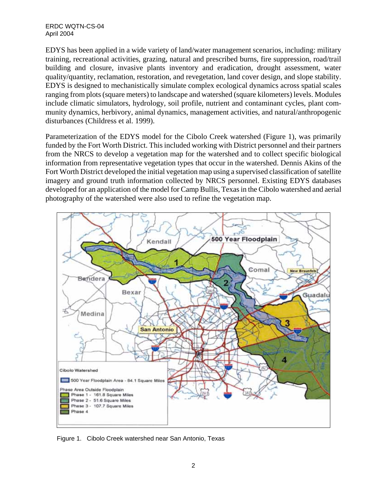ERDC WQTN-CS-04 April 2004

EDYS has been applied in a wide variety of land/water management scenarios, including: military training, recreational activities, grazing, natural and prescribed burns, fire suppression, road/trail building and closure, invasive plants inventory and eradication, drought assessment, water quality/quantity, reclamation, restoration, and revegetation, land cover design, and slope stability. EDYS is designed to mechanistically simulate complex ecological dynamics across spatial scales ranging from plots (square meters) to landscape and watershed (square kilometers) levels. Modules include climatic simulators, hydrology, soil profile, nutrient and contaminant cycles, plant community dynamics, herbivory, animal dynamics, management activities, and natural/anthropogenic disturbances (Childress et al. 1999).

Parameterization of the EDYS model for the Cibolo Creek watershed (Figure 1), was primarily funded by the Fort Worth District. This included working with District personnel and their partners from the NRCS to develop a vegetation map for the watershed and to collect specific biological information from representative vegetation types that occur in the watershed. Dennis Akins of the Fort Worth District developed the initial vegetation map using a supervised classification of satellite imagery and ground truth information collected by NRCS personnel. Existing EDYS databases developed for an application of the model for Camp Bullis, Texas in the Cibolo watershed and aerial photography of the watershed were also used to refine the vegetation map.



Figure 1. Cibolo Creek watershed near San Antonio, Texas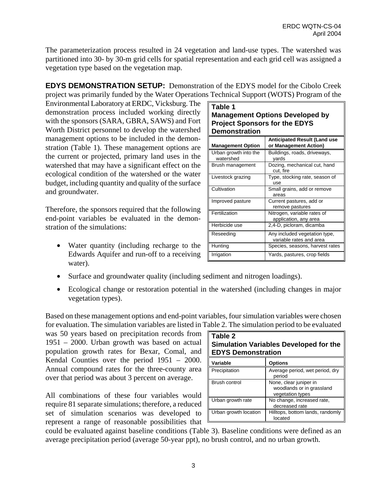The parameterization process resulted in 24 vegetation and land-use types. The watershed was partitioned into 30- by 30-m grid cells for spatial representation and each grid cell was assigned a vegetation type based on the vegetation map.

**EDYS DEMONSTRATION SETUP:** Demonstration of the EDYS model for the Cibolo Creek project was primarily funded by the Water Operations Technical Support (WOTS) Program of the

Environmental Laboratory at ERDC, Vicksburg. The demonstration process included working directly with the sponsors (SARA, GBRA, SAWS) and Fort Worth District personnel to develop the watershed management options to be included in the demonstration (Table 1). These management options are the current or projected, primary land uses in the watershed that may have a significant effect on the ecological condition of the watershed or the water budget, including quantity and quality of the surface and groundwater.

Therefore, the sponsors required that the following end-point variables be evaluated in the demonstration of the simulations:

• Water quantity (including recharge to the Edwards Aquifer and run-off to a receiving water).

| Table 1                                |
|----------------------------------------|
| <b>Management Options Developed by</b> |
| <b>Project Sponsors for the EDYS</b>   |
| <b>Demonstration</b>                   |

| <b>Management Option</b>           | <b>Anticipated Result (Land use</b><br>or Management Action) |
|------------------------------------|--------------------------------------------------------------|
| Urban growth into the<br>watershed | Buildings, roads, driveways,<br>vards                        |
| Brush management                   | Dozing, mechanical cut, hand<br>cut, fire                    |
| Livestock grazing                  | Type, stocking rate, season of<br>use                        |
| Cultivation                        | Small grains, add or remove<br>areas                         |
| Improved pasture                   | Current pastures, add or<br>remove pastures                  |
| Fertilization                      | Nitrogen, variable rates of<br>application, any area         |
| Herbicide use                      | 2,4-D, picloram, dicamba                                     |
| Reseeding                          | Any included vegetation type,<br>variable rates and area     |
| Hunting                            | Species, seasons, harvest rates                              |
| Irrigation                         | Yards, pastures, crop fields                                 |

- Surface and groundwater quality (including sediment and nitrogen loadings).
- Ecological change or restoration potential in the watershed (including changes in major vegetation types).

Based on these management options and end-point variables, four simulation variables were chosen for evaluation. The simulation variables are listed in Table 2. The simulation period to be evaluated

was 50 years based on precipitation records from **Table 2** 1951 – 2000. Urban growth was based on actual population growth rates for Bexar, Comal, and Kendal Counties over the period 1951 – 2000. Annual compound rates for the three-county area over that period was about 3 percent on average.

All combinations of these four variables would require 81 separate simulations; therefore, a reduced set of simulation scenarios was developed to represent a range of reasonable possibilities that

| LAUIG L<br><b>Simulation Variables Developed for the</b><br><b>EDYS Demonstration</b> |                                                                         |  |  |  |
|---------------------------------------------------------------------------------------|-------------------------------------------------------------------------|--|--|--|
| Variable                                                                              | <b>Options</b>                                                          |  |  |  |
| Precipitation                                                                         | Average period, wet period, dry<br>period                               |  |  |  |
| Brush control                                                                         | None, clear juniper in<br>woodlands or in grassland<br>vegetation types |  |  |  |
| Urban growth rate                                                                     | No change, increased rate,<br>decreased rate                            |  |  |  |
| Urban growth location                                                                 | Hilltops, bottom lands, randomly<br>located                             |  |  |  |

could be evaluated against baseline conditions (Table 3). Baseline conditions were defined as an average precipitation period (average 50-year ppt), no brush control, and no urban growth.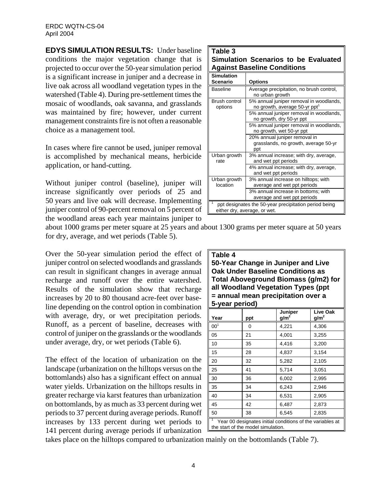**EDYS SIMULATION RESULTS:** Under baseline conditions the major vegetation change that is projected to occur over the 50-year simulation period is a significant increase in juniper and a decrease in live oak across all woodland vegetation types in the watershed (Table 4). During pre-settlement times the mosaic of woodlands, oak savanna, and grasslands was maintained by fire; however, under current management constraints fire is not often a reasonable choice as a management tool.

In cases where fire cannot be used, juniper removal is accomplished by mechanical means, herbicide application, or hand-cutting.

Without juniper control (baseline), juniper will increase significantly over periods of 25 and 50 years and live oak will decrease. Implementing juniper control of 90-percent removal on 5 percent of the woodland areas each year maintains juniper to

| <b>Against Baseline Conditions</b> | Simulation Scenarios to be Evaluated |  |
|------------------------------------|--------------------------------------|--|
|                                    |                                      |  |

| <b>Simulation</b><br>Scenario   | <b>Options</b>                                                                        |
|---------------------------------|---------------------------------------------------------------------------------------|
| <b>Baseline</b>                 | Average precipitation, no brush control,                                              |
|                                 | no urban growth                                                                       |
| <b>Brush control</b><br>options | 5% annual juniper removal in woodlands,<br>no growth, average 50-yr ppt <sup>1</sup>  |
|                                 | 5% annual juniper removal in woodlands,<br>no growth, dry 50-yr ppt                   |
|                                 | 5% annual juniper removal in woodlands,<br>no growth, wet 50-yr ppt                   |
|                                 | 20% annual juniper removal in<br>grasslands, no growth, average 50-yr<br>ppt          |
| Urban growth<br>rate            | 3% annual increase; with dry, average,<br>and wet ppt periods                         |
|                                 | 4% annual increase; with dry, average,<br>and wet ppt periods                         |
| Urban growth<br>location        | 3% annual increase on hilltops; with<br>average and wet ppt periods                   |
|                                 | 3% annual increase in bottoms; with<br>average and wet ppt periods                    |
|                                 | ppt designates the 50-year precipitation period being<br>either dry, average, or wet. |

about 1000 grams per meter square at 25 years and about 1300 grams per meter square at 50 years for dry, average, and wet periods (Table 5).

Over the 50-year simulation period the effect of juniper control on selected woodlands and grasslands can result in significant changes in average annual recharge and runoff over the entire watershed. Results of the simulation show that recharge increases by 20 to 80 thousand acre-feet over baseline depending on the control option in combination with average, dry, or wet precipitation periods. Runoff, as a percent of baseline, decreases with control of juniper on the grasslands or the woodlands under average, dry, or wet periods (Table 6).

The effect of the location of urbanization on the landscape (urbanization on the hilltops versus on the bottomlands) also has a significant effect on annual water yields. Urbanization on the hilltops results in greater recharge via karst features than urbanization on bottomlands, by as much as 33 percent during wet periods to 37 percent during average periods. Runoff increases by 133 percent during wet periods to 141 percent during average periods if urbanization

## **Table 4**

**50-Year Change in Juniper and Live Oak Under Baseline Conditions as Total Aboveground Biomass (g/m2) for all Woodland Vegetation Types (ppt = annual mean precipitation over a 5-year period)** 

| Year                                                                                            | ppt | Juniper<br>g/m <sup>2</sup> | Live Oak<br>g/m <sup>2</sup> |  |
|-------------------------------------------------------------------------------------------------|-----|-----------------------------|------------------------------|--|
| 00 <sup>1</sup>                                                                                 | 0   | 4,221                       | 4,306                        |  |
| 05                                                                                              | 21  | 4,001                       | 3,255                        |  |
| 10                                                                                              | 35  | 4,416                       | 3,200                        |  |
| 15                                                                                              | 28  | 4,837                       | 3,154                        |  |
| 20                                                                                              | 32  | 5,282                       | 2,105                        |  |
| 25                                                                                              | 41  | 5,714                       | 3,051                        |  |
| 30                                                                                              | 36  | 6,002                       | 2,995                        |  |
| 35                                                                                              | 34  | 6,243                       | 2,946                        |  |
| 40                                                                                              | 34  | 6,531                       | 2,905                        |  |
| 45                                                                                              | 42  | 6,487                       | 2,873                        |  |
| 50                                                                                              | 38  | 6,545                       | 2,835                        |  |
| Year 00 designates initial conditions of the variables at<br>the start of the model simulation. |     |                             |                              |  |

takes place on the hilltops compared to urbanization mainly on the bottomlands (Table 7).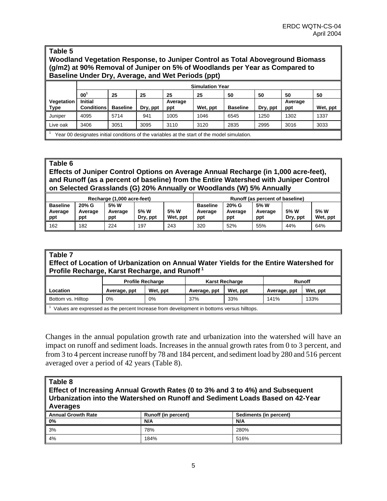## **Table 5 Woodland Vegetation Response, to Juniper Control as Total Aboveground Biomass (g/m2) at 90% Removal of Juniper on 5% of Woodlands per Year as Compared to Baseline Under Dry, Average, and Wet Periods (ppt)**

|                                  | <b>Simulation Year</b>                                                                       |                 |          |                |          |                 |          |                |          |
|----------------------------------|----------------------------------------------------------------------------------------------|-----------------|----------|----------------|----------|-----------------|----------|----------------|----------|
|                                  | 00 <sup>1</sup>                                                                              | 25              | 25       | 25             | 25       | 50              | 50       | 50             | 50       |
| <b>Vegetation</b><br><u>Type</u> | <b>Initial</b><br><b>Conditions</b>                                                          | <b>Baseline</b> | Dry, ppt | Average<br>ppt | Wet, ppt | <b>Baseline</b> | Dry, ppt | Average<br>ppt | Wet, ppt |
|                                  |                                                                                              |                 |          |                |          |                 |          |                |          |
| Juniper                          | 4095                                                                                         | 5714            | 941      | 1005           | 1046     | 6545            | 1250     | 1302           | 1337     |
| Live oak                         | 3406                                                                                         | 3051            | 3095     | 3110           | 3120     | 2835            | 2995     | 3016           | 3033     |
|                                  | Year 00 designates initial conditions of the variables at the start of the model simulation. |                 |          |                |          |                 |          |                |          |

### **Table 6**

**Effects of Juniper Control Options on Average Annual Recharge (in 1,000 acre-feet), and Runoff (as a percent of baseline) from the Entire Watershed with Juniper Control on Selected Grasslands (G) 20% Annually or Woodlands (W) 5% Annually**

| Recharge (1,000 acre-feet) |         |         |          |          | Runoff (as percent of baseline) |         |         |          |          |
|----------------------------|---------|---------|----------|----------|---------------------------------|---------|---------|----------|----------|
| <b>Baseline</b>            | 20% G   | 5% W    |          |          | <b>Baseline</b>                 | 20% G   | 5% W    |          |          |
| Average                    | Average | Average | 5% W     | 5% W     | Average                         | Average | Average | 5% W     | 5% W     |
|                            |         |         |          |          |                                 |         |         |          |          |
| ppt                        | ppt     | ppt     | Dry, ppt | Wet, ppt | ppt                             | ppt     | ppt     | Dry, ppt | Wet, ppt |

#### **Table 7 Effect of Location of Urbanization on Annual Water Yields for the Entire Watershed for Profile Recharge, Karst Recharge, and Runoff 1**

|                                                                                           | <b>Profile Recharge</b> |          |              | <b>Karst Recharge</b> | <b>Runoff</b> |          |
|-------------------------------------------------------------------------------------------|-------------------------|----------|--------------|-----------------------|---------------|----------|
| Location                                                                                  | Average, ppt            | Wet, ppt | Average, ppt | Wet, ppt              | Average, ppt  | Wet, ppt |
| Bottom vs. Hilltop                                                                        | 0%                      | 0%       | 37%          | 33%                   | 141%          | 133%     |
| Values are expressed as the percent Increase from development in bottoms versus hilltops. |                         |          |              |                       |               |          |

Changes in the annual population growth rate and urbanization into the watershed will have an impact on runoff and sediment loads. Increases in the annual growth rates from 0 to 3 percent, and from 3 to 4 percent increase runoff by 78 and 184 percent, and sediment load by 280 and 516 percent averaged over a period of 42 years (Table 8).

| Table 8<br>∥ Effect of Increasing Annual Growth Rates (0 to 3% and 3 to 4%) and Subsequent<br>$\parallel$ Urbanization into the Watershed on Runoff and Sediment Loads Based on 42-Year<br>Averages |                            |                        |  |  |
|-----------------------------------------------------------------------------------------------------------------------------------------------------------------------------------------------------|----------------------------|------------------------|--|--|
| <b>Annual Growth Rate</b>                                                                                                                                                                           | <b>Runoff (in percent)</b> | Sediments (in percent) |  |  |
| $\vert$ 0%                                                                                                                                                                                          | N/A                        | N/A                    |  |  |
| 3%                                                                                                                                                                                                  | 78%                        | 280%                   |  |  |
| 4%                                                                                                                                                                                                  | 184%                       | 516%                   |  |  |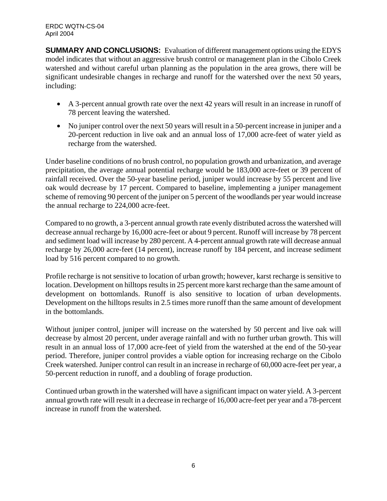**SUMMARY AND CONCLUSIONS:** Evaluation of different management options using the EDYS model indicates that without an aggressive brush control or management plan in the Cibolo Creek watershed and without careful urban planning as the population in the area grows, there will be significant undesirable changes in recharge and runoff for the watershed over the next 50 years. including:

- A 3-percent annual growth rate over the next 42 years will result in an increase in runoff of 78 percent leaving the watershed.
- No juniper control over the next 50 years will result in a 50-percent increase in juniper and a 20-percent reduction in live oak and an annual loss of 17,000 acre-feet of water yield as recharge from the watershed.

Under baseline conditions of no brush control, no population growth and urbanization, and average precipitation, the average annual potential recharge would be 183,000 acre-feet or 39 percent of rainfall received. Over the 50-year baseline period, juniper would increase by 55 percent and live oak would decrease by 17 percent. Compared to baseline, implementing a juniper management scheme of removing 90 percent of the juniper on 5 percent of the woodlands per year would increase the annual recharge to 224,000 acre-feet.

Compared to no growth, a 3-percent annual growth rate evenly distributed across the watershed will decrease annual recharge by 16,000 acre-feet or about 9 percent. Runoff will increase by 78 percent and sediment load will increase by 280 percent. A 4-percent annual growth rate will decrease annual recharge by 26,000 acre-feet (14 percent), increase runoff by 184 percent, and increase sediment load by 516 percent compared to no growth.

Profile recharge is not sensitive to location of urban growth; however, karst recharge is sensitive to location. Development on hilltops results in 25 percent more karst recharge than the same amount of development on bottomlands. Runoff is also sensitive to location of urban developments. Development on the hilltops results in 2.5 times more runoff than the same amount of development in the bottomlands.

Without juniper control, juniper will increase on the watershed by 50 percent and live oak will decrease by almost 20 percent, under average rainfall and with no further urban growth. This will result in an annual loss of 17,000 acre-feet of yield from the watershed at the end of the 50-year period. Therefore, juniper control provides a viable option for increasing recharge on the Cibolo Creek watershed. Juniper control can result in an increase in recharge of 60,000 acre-feet per year, a 50-percent reduction in runoff, and a doubling of forage production.

Continued urban growth in the watershed will have a significant impact on water yield. A 3-percent annual growth rate will result in a decrease in recharge of 16,000 acre-feet per year and a 78-percent increase in runoff from the watershed.